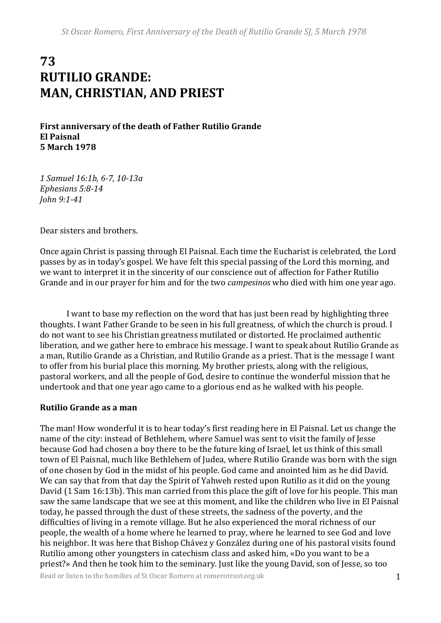## **73 RUTILIO GRANDE: MAN, CHRISTIAN, AND PRIEST**

**First anniversary of the death of Father Rutilio Grande El Paisnal 5 March 1978**

*1 Samuel 16:1b, 6-7, 10-13a Ephesians 5:8-14 John 9:1-41*

Dear sisters and brothers.

Once again Christ is passing through El Paisnal. Each time the Eucharist is celebrated, the Lord passes by as in today's gospel. We have felt this special passing of the Lord this morning, and we want to interpret it in the sincerity of our conscience out of affection for Father Rutilio Grande and in our prayer for him and for the two *campesinos* who died with him one year ago.

I want to base my reflection on the word that has just been read by highlighting three thoughts. I want Father Grande to be seen in his full greatness, of which the church is proud. I do not want to see his Christian greatness mutilated or distorted. He proclaimed authentic liberation, and we gather here to embrace his message. I want to speak about Rutilio Grande as a man, Rutilio Grande as a Christian, and Rutilio Grande as a priest. That is the message I want to offer from his burial place this morning. My brother priests, along with the religious, pastoral workers, and all the people of God, desire to continue the wonderful mission that he undertook and that one year ago came to a glorious end as he walked with his people.

## **Rutilio Grande as a man**

The man! How wonderful it is to hear today's first reading here in El Paisnal. Let us change the name of the city: instead of Bethlehem, where Samuel was sent to visit the family of Jesse because God had chosen a boy there to be the future king of Israel, let us think of this small town of El Paisnal, much like Bethlehem of Judea, where Rutilio Grande was born with the sign of one chosen by God in the midst of his people. God came and anointed him as he did David. We can say that from that day the Spirit of Yahweh rested upon Rutilio as it did on the young David (1 Sam 16:13b). This man carried from this place the gift of love for his people. This man saw the same landscape that we see at this moment, and like the children who live in El Paisnal today, he passed through the dust of these streets, the sadness of the poverty, and the difficulties of living in a remote village. But he also experienced the moral richness of our people, the wealth of a home where he learned to pray, where he learned to see God and love his neighbor. It was here that Bishop Chávez y González during one of his pastoral visits found Rutilio among other youngsters in catechism class and asked him, «Do you want to be a priest?» And then he took him to the seminary. Just like the young David, son of Jesse, so too

Read or listen to the homilies of St Oscar Romero at romerotrust.org.uk 1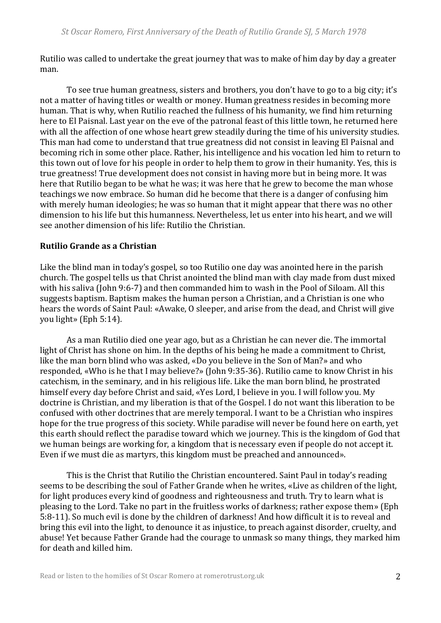Rutilio was called to undertake the great journey that was to make of him day by day a greater man.

To see true human greatness, sisters and brothers, you don't have to go to a big city; it's not a matter of having titles or wealth or money. Human greatness resides in becoming more human. That is why, when Rutilio reached the fullness of his humanity, we find him returning here to El Paisnal. Last year on the eve of the patronal feast of this little town, he returned here with all the affection of one whose heart grew steadily during the time of his university studies. This man had come to understand that true greatness did not consist in leaving El Paisnal and becoming rich in some other place. Rather, his intelligence and his vocation led him to return to this town out of love for his people in order to help them to grow in their humanity. Yes, this is true greatness! True development does not consist in having more but in being more. It was here that Rutilio began to be what he was; it was here that he grew to become the man whose teachings we now embrace. So human did he become that there is a danger of confusing him with merely human ideologies; he was so human that it might appear that there was no other dimension to his life but this humanness. Nevertheless, let us enter into his heart, and we will see another dimension of his life: Rutilio the Christian.

## **Rutilio Grande as a Christian**

Like the blind man in today's gospel, so too Rutilio one day was anointed here in the parish church. The gospel tells us that Christ anointed the blind man with clay made from dust mixed with his saliva (John 9:6-7) and then commanded him to wash in the Pool of Siloam. All this suggests baptism. Baptism makes the human person a Christian, and a Christian is one who hears the words of Saint Paul: «Awake, O sleeper, and arise from the dead, and Christ will give you light» (Eph 5:14).

As a man Rutilio died one year ago, but as a Christian he can never die. The immortal light of Christ has shone on him. In the depths of his being he made a commitment to Christ, like the man born blind who was asked, «Do you believe in the Son of Man?» and who responded, «Who is he that I may believe?» (John 9:35-36). Rutilio came to know Christ in his catechism, in the seminary, and in his religious life. Like the man born blind, he prostrated himself every day before Christ and said, «Yes Lord, I believe in you. I will follow you. My doctrine is Christian, and my liberation is that of the Gospel. I do not want this liberation to be confused with other doctrines that are merely temporal. I want to be a Christian who inspires hope for the true progress of this society. While paradise will never be found here on earth, yet this earth should reflect the paradise toward which we journey. This is the kingdom of God that we human beings are working for, a kingdom that is necessary even if people do not accept it. Even if we must die as martyrs, this kingdom must be preached and announced».

This is the Christ that Rutilio the Christian encountered. Saint Paul in today's reading seems to be describing the soul of Father Grande when he writes, «Live as children of the light, for light produces every kind of goodness and righteousness and truth. Try to learn what is pleasing to the Lord. Take no part in the fruitless works of darkness; rather expose them» (Eph 5:8-11). So much evil is done by the children of darkness! And how difficult it is to reveal and bring this evil into the light, to denounce it as injustice, to preach against disorder, cruelty, and abuse! Yet because Father Grande had the courage to unmask so many things, they marked him for death and killed him.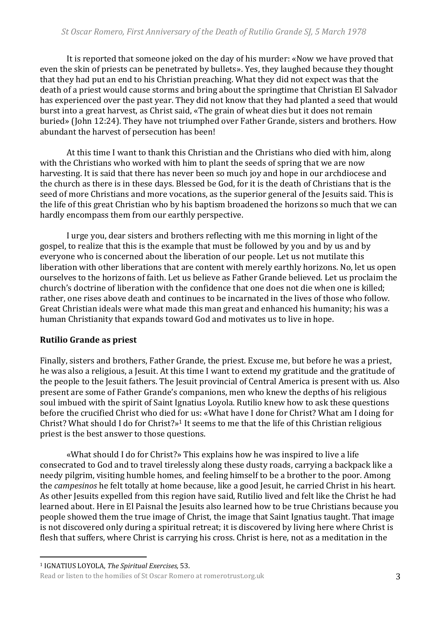It is reported that someone joked on the day of his murder: «Now we have proved that even the skin of priests can be penetrated by bullets». Yes, they laughed because they thought that they had put an end to his Christian preaching. What they did not expect was that the death of a priest would cause storms and bring about the springtime that Christian El Salvador has experienced over the past year. They did not know that they had planted a seed that would burst into a great harvest, as Christ said, «The grain of wheat dies but it does not remain buried» (John 12:24). They have not triumphed over Father Grande, sisters and brothers. How abundant the harvest of persecution has been!

At this time I want to thank this Christian and the Christians who died with him, along with the Christians who worked with him to plant the seeds of spring that we are now harvesting. It is said that there has never been so much joy and hope in our archdiocese and the church as there is in these days. Blessed be God, for it is the death of Christians that is the seed of more Christians and more vocations, as the superior general of the Jesuits said. This is the life of this great Christian who by his baptism broadened the horizons so much that we can hardly encompass them from our earthly perspective.

I urge you, dear sisters and brothers reflecting with me this morning in light of the gospel, to realize that this is the example that must be followed by you and by us and by everyone who is concerned about the liberation of our people. Let us not mutilate this liberation with other liberations that are content with merely earthly horizons. No, let us open ourselves to the horizons of faith. Let us believe as Father Grande believed. Let us proclaim the church's doctrine of liberation with the confidence that one does not die when one is killed; rather, one rises above death and continues to be incarnated in the lives of those who follow. Great Christian ideals were what made this man great and enhanced his humanity; his was a human Christianity that expands toward God and motivates us to live in hope.

## **Rutilio Grande as priest**

Finally, sisters and brothers, Father Grande, the priest. Excuse me, but before he was a priest, he was also a religious, a Jesuit. At this time I want to extend my gratitude and the gratitude of the people to the Jesuit fathers. The Jesuit provincial of Central America is present with us. Also present are some of Father Grande's companions, men who knew the depths of his religious soul imbued with the spirit of Saint Ignatius Loyola. Rutilio knew how to ask these questions before the crucified Christ who died for us: «What have I done for Christ? What am I doing for Christ? What should I do for Christ?» <sup>1</sup> It seems to me that the life of this Christian religious priest is the best answer to those questions.

«What should I do for Christ?» This explains how he was inspired to live a life consecrated to God and to travel tirelessly along these dusty roads, carrying a backpack like a needy pilgrim, visiting humble homes, and feeling himself to be a brother to the poor. Among the *campesinos* he felt totally at home because, like a good Jesuit, he carried Christ in his heart. As other Jesuits expelled from this region have said, Rutilio lived and felt like the Christ he had learned about. Here in El Paisnal the Jesuits also learned how to be true Christians because you people showed them the true image of Christ, the image that Saint Ignatius taught. That image is not discovered only during a spiritual retreat; it is discovered by living here where Christ is flesh that suffers, where Christ is carrying his cross. Christ is here, not as a meditation in the

<sup>1</sup> <sup>1</sup> IGNATIUS LOYOLA, *The Spiritual Exercises,* 53.

Read or listen to the homilies of St Oscar Romero at romerotrust.org.uk 3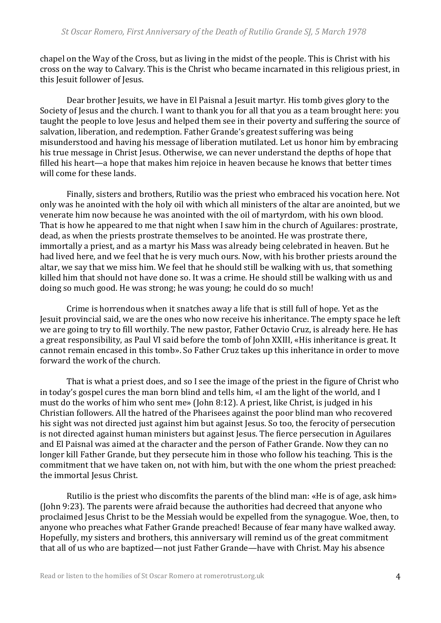chapel on the Way of the Cross, but as living in the midst of the people. This is Christ with his cross on the way to Calvary. This is the Christ who became incarnated in this religious priest, in this Jesuit follower of Jesus.

Dear brother Jesuits, we have in El Paisnal a Jesuit martyr. His tomb gives glory to the Society of Jesus and the church. I want to thank you for all that you as a team brought here: you taught the people to love Jesus and helped them see in their poverty and suffering the source of salvation, liberation, and redemption. Father Grande's greatest suffering was being misunderstood and having his message of liberation mutilated. Let us honor him by embracing his true message in Christ Jesus. Otherwise, we can never understand the depths of hope that filled his heart—a hope that makes him rejoice in heaven because he knows that better times will come for these lands.

Finally, sisters and brothers, Rutilio was the priest who embraced his vocation here. Not only was he anointed with the holy oil with which all ministers of the altar are anointed, but we venerate him now because he was anointed with the oil of martyrdom, with his own blood. That is how he appeared to me that night when I saw him in the church of Aguilares: prostrate, dead, as when the priests prostrate themselves to be anointed. He was prostrate there, immortally a priest, and as a martyr his Mass was already being celebrated in heaven. But he had lived here, and we feel that he is very much ours. Now, with his brother priests around the altar, we say that we miss him. We feel that he should still be walking with us, that something killed him that should not have done so. It was a crime. He should still be walking with us and doing so much good. He was strong; he was young; he could do so much!

Crime is horrendous when it snatches away a life that is still full of hope. Yet as the Jesuit provincial said, we are the ones who now receive his inheritance. The empty space he left we are going to try to fill worthily. The new pastor, Father Octavio Cruz, is already here. He has a great responsibility, as Paul VI said before the tomb of John XXIII, «His inheritance is great. It cannot remain encased in this tomb». So Father Cruz takes up this inheritance in order to move forward the work of the church.

That is what a priest does, and so I see the image of the priest in the figure of Christ who in today's gospel cures the man born blind and tells him, «I am the light of the world, and I must do the works of him who sent me» (John 8:12). A priest, like Christ, is judged in his Christian followers. All the hatred of the Pharisees against the poor blind man who recovered his sight was not directed just against him but against Jesus. So too, the ferocity of persecution is not directed against human ministers but against Jesus. The fierce persecution in Aguilares and El Paisnal was aimed at the character and the person of Father Grande. Now they can no longer kill Father Grande, but they persecute him in those who follow his teaching. This is the commitment that we have taken on, not with him, but with the one whom the priest preached: the immortal Jesus Christ.

Rutilio is the priest who discomfits the parents of the blind man: «He is of age, ask him» (John 9:23). The parents were afraid because the authorities had decreed that anyone who proclaimed Jesus Christ to be the Messiah would be expelled from the synagogue. Woe, then, to anyone who preaches what Father Grande preached! Because of fear many have walked away. Hopefully, my sisters and brothers, this anniversary will remind us of the great commitment that all of us who are baptized—not just Father Grande—have with Christ. May his absence